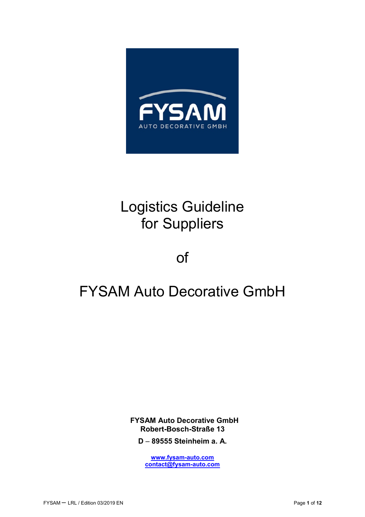

# Logistics Guideline for Suppliers

of

# FYSAM Auto Decorative GmbH

**FYSAM Auto Decorative GmbH Robert-Bosch-Straße 13** 

**D** – **89555 Steinheim a. A.** 

**www.fysam-auto.com contact@fysam-auto.com**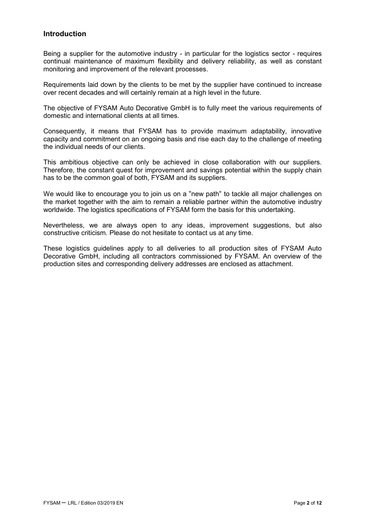#### **Introduction**

Being a supplier for the automotive industry - in particular for the logistics sector - requires continual maintenance of maximum flexibility and delivery reliability, as well as constant monitoring and improvement of the relevant processes.

Requirements laid down by the clients to be met by the supplier have continued to increase over recent decades and will certainly remain at a high level in the future.

The objective of FYSAM Auto Decorative GmbH is to fully meet the various requirements of domestic and international clients at all times.

Consequently, it means that FYSAM has to provide maximum adaptability, innovative capacity and commitment on an ongoing basis and rise each day to the challenge of meeting the individual needs of our clients.

This ambitious objective can only be achieved in close collaboration with our suppliers. Therefore, the constant quest for improvement and savings potential within the supply chain has to be the common goal of both, FYSAM and its suppliers.

We would like to encourage you to join us on a "new path" to tackle all major challenges on the market together with the aim to remain a reliable partner within the automotive industry worldwide. The logistics specifications of FYSAM form the basis for this undertaking.

Nevertheless, we are always open to any ideas, improvement suggestions, but also constructive criticism. Please do not hesitate to contact us at any time.

These logistics guidelines apply to all deliveries to all production sites of FYSAM Auto Decorative GmbH, including all contractors commissioned by FYSAM. An overview of the production sites and corresponding delivery addresses are enclosed as attachment.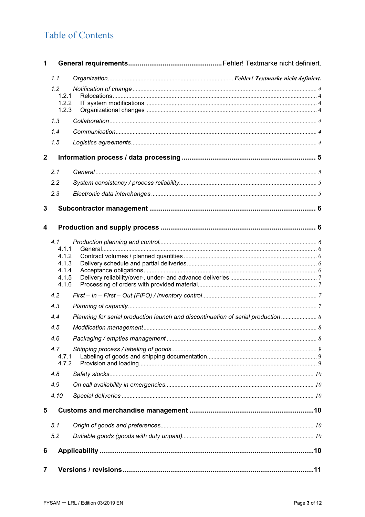# **Table of Contents**

| 1              |                                |                                                                                   |  |  |
|----------------|--------------------------------|-----------------------------------------------------------------------------------|--|--|
|                | 1.1                            |                                                                                   |  |  |
|                | 1.2<br>1.2.1<br>1.2.2<br>1.2.3 |                                                                                   |  |  |
|                | 1.3                            |                                                                                   |  |  |
|                | 1.4                            |                                                                                   |  |  |
|                | 1.5                            |                                                                                   |  |  |
| $\overline{2}$ |                                |                                                                                   |  |  |
|                | 2.1                            |                                                                                   |  |  |
|                | 2.2                            |                                                                                   |  |  |
|                | 2.3                            |                                                                                   |  |  |
| 3              |                                |                                                                                   |  |  |
| 4              |                                |                                                                                   |  |  |
|                | 4.1                            |                                                                                   |  |  |
|                | 4.1.1<br>4.1.2                 |                                                                                   |  |  |
|                | 4.1.3                          |                                                                                   |  |  |
|                | 4.1.4                          |                                                                                   |  |  |
|                | 4.1.5<br>4.1.6                 |                                                                                   |  |  |
|                | 4.2                            |                                                                                   |  |  |
|                | 4.3                            |                                                                                   |  |  |
|                | 4.4                            | Planning for serial production launch and discontinuation of serial production  8 |  |  |
|                | 4.5                            |                                                                                   |  |  |
|                | 4.6                            |                                                                                   |  |  |
|                | 4.7                            |                                                                                   |  |  |
|                | 4.7.1<br>4.7.2                 |                                                                                   |  |  |
|                | 4.8                            |                                                                                   |  |  |
|                | 4.9                            |                                                                                   |  |  |
|                | 4.10                           |                                                                                   |  |  |
| 5              |                                |                                                                                   |  |  |
|                | 5.1                            |                                                                                   |  |  |
|                | 5.2                            |                                                                                   |  |  |
| 6              |                                |                                                                                   |  |  |
| $\overline{7}$ |                                |                                                                                   |  |  |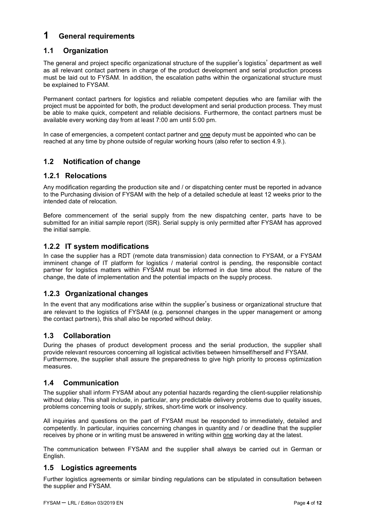## **1 General requirements**

### **1.1 Organization**

The general and project specific organizational structure of the supplier's logistics' department as well as all relevant contact partners in charge of the product development and serial production process must be laid out to FYSAM. In addition, the escalation paths within the organizational structure must be explained to FYSAM.

Permanent contact partners for logistics and reliable competent deputies who are familiar with the project must be appointed for both, the product development and serial production process. They must be able to make quick, competent and reliable decisions. Furthermore, the contact partners must be available every working day from at least 7:00 am until 5:00 pm.

In case of emergencies, a competent contact partner and one deputy must be appointed who can be reached at any time by phone outside of regular working hours (also refer to section 4.9.).

#### **1.2 Notification of change**

#### **1.2.1 Relocations**

Any modification regarding the production site and / or dispatching center must be reported in advance to the Purchasing division of FYSAM with the help of a detailed schedule at least 12 weeks prior to the intended date of relocation.

Before commencement of the serial supply from the new dispatching center, parts have to be submitted for an initial sample report (ISR). Serial supply is only permitted after FYSAM has approved the initial sample.

#### **1.2.2 IT system modifications**

In case the supplier has a RDT (remote data transmission) data connection to FYSAM, or a FYSAM imminent change of IT platform for logistics / material control is pending, the responsible contact partner for logistics matters within FYSAM must be informed in due time about the nature of the change, the date of implementation and the potential impacts on the supply process.

### **1.2.3 Organizational changes**

In the event that any modifications arise within the supplier's business or organizational structure that are relevant to the logistics of FYSAM (e.g. personnel changes in the upper management or among the contact partners), this shall also be reported without delay.

#### **1.3 Collaboration**

During the phases of product development process and the serial production, the supplier shall provide relevant resources concerning all logistical activities between himself/herself and FYSAM. Furthermore, the supplier shall assure the preparedness to give high priority to process optimization measures.

#### **1.4 Communication**

The supplier shall inform FYSAM about any potential hazards regarding the client-supplier relationship without delay. This shall include, in particular, any predictable delivery problems due to quality issues, problems concerning tools or supply, strikes, short-time work or insolvency.

All inquiries and questions on the part of FYSAM must be responded to immediately, detailed and competently. In particular, inquiries concerning changes in quantity and / or deadline that the supplier receives by phone or in writing must be answered in writing within one working day at the latest.

The communication between FYSAM and the supplier shall always be carried out in German or English.

#### **1.5 Logistics agreements**

Further logistics agreements or similar binding regulations can be stipulated in consultation between the supplier and FYSAM.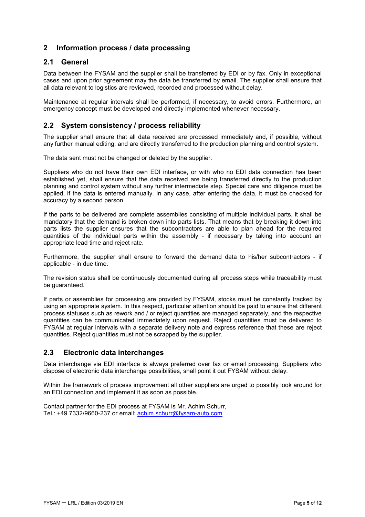#### **2 Information process / data processing**

#### **2.1 General**

Data between the FYSAM and the supplier shall be transferred by EDI or by fax. Only in exceptional cases and upon prior agreement may the data be transferred by email. The supplier shall ensure that all data relevant to logistics are reviewed, recorded and processed without delay.

Maintenance at regular intervals shall be performed, if necessary, to avoid errors. Furthermore, an emergency concept must be developed and directly implemented whenever necessary.

#### **2.2 System consistency / process reliability**

The supplier shall ensure that all data received are processed immediately and, if possible, without any further manual editing, and are directly transferred to the production planning and control system.

The data sent must not be changed or deleted by the supplier.

Suppliers who do not have their own EDI interface, or with who no EDI data connection has been established yet, shall ensure that the data received are being transferred directly to the production planning and control system without any further intermediate step. Special care and diligence must be applied, if the data is entered manually. In any case, after entering the data, it must be checked for accuracy by a second person.

If the parts to be delivered are complete assemblies consisting of multiple individual parts, it shall be mandatory that the demand is broken down into parts lists. That means that by breaking it down into parts lists the supplier ensures that the subcontractors are able to plan ahead for the required quantities of the individual parts within the assembly - if necessary by taking into account an appropriate lead time and reject rate.

Furthermore, the supplier shall ensure to forward the demand data to his/her subcontractors - if applicable - in due time.

The revision status shall be continuously documented during all process steps while traceability must be guaranteed.

If parts or assemblies for processing are provided by FYSAM, stocks must be constantly tracked by using an appropriate system. In this respect, particular attention should be paid to ensure that different process statuses such as rework and / or reject quantities are managed separately, and the respective quantities can be communicated immediately upon request. Reject quantities must be delivered to FYSAM at regular intervals with a separate delivery note and express reference that these are reject quantities. Reject quantities must not be scrapped by the supplier.

#### **2.3 Electronic data interchanges**

Data interchange via EDI interface is always preferred over fax or email processing. Suppliers who dispose of electronic data interchange possibilities, shall point it out FYSAM without delay.

Within the framework of process improvement all other suppliers are urged to possibly look around for an EDI connection and implement it as soon as possible.

Contact partner for the EDI process at FYSAM is Mr. Achim Schurr, Tel.: +49 7332/9660-237 or email: achim.schurr@fysam-auto.com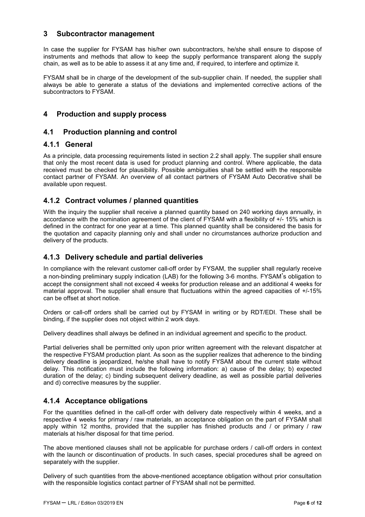#### **3 Subcontractor management**

In case the supplier for FYSAM has his/her own subcontractors, he/she shall ensure to dispose of instruments and methods that allow to keep the supply performance transparent along the supply chain, as well as to be able to assess it at any time and, if required, to interfere and optimize it.

FYSAM shall be in charge of the development of the sub-supplier chain. If needed, the supplier shall always be able to generate a status of the deviations and implemented corrective actions of the subcontractors to FYSAM.

#### **4 Production and supply process**

#### **4.1 Production planning and control**

#### **4.1.1 General**

As a principle, data processing requirements listed in section 2.2 shall apply. The supplier shall ensure that only the most recent data is used for product planning and control. Where applicable, the data received must be checked for plausibility. Possible ambiguities shall be settled with the responsible contact partner of FYSAM. An overview of all contact partners of FYSAM Auto Decorative shall be available upon request.

#### **4.1.2 Contract volumes / planned quantities**

With the inquiry the supplier shall receive a planned quantity based on 240 working days annually, in accordance with the nomination agreement of the client of FYSAM with a flexibility of +/- 15% which is defined in the contract for one year at a time. This planned quantity shall be considered the basis for the quotation and capacity planning only and shall under no circumstances authorize production and delivery of the products.

#### **4.1.3 Delivery schedule and partial deliveries**

In compliance with the relevant customer call-off order by FYSAM, the supplier shall regularly receive a non-binding preliminary supply indication (LAB) for the following 3-6 months. FYSAM's obligation to accept the consignment shall not exceed 4 weeks for production release and an additional 4 weeks for material approval. The supplier shall ensure that fluctuations within the agreed capacities of +/-15% can be offset at short notice.

Orders or call-off orders shall be carried out by FYSAM in writing or by RDT/EDI. These shall be binding, if the supplier does not object within 2 work days.

Delivery deadlines shall always be defined in an individual agreement and specific to the product.

Partial deliveries shall be permitted only upon prior written agreement with the relevant dispatcher at the respective FYSAM production plant. As soon as the supplier realizes that adherence to the binding delivery deadline is jeopardized, he/she shall have to notify FYSAM about the current state without delay. This notification must include the following information: a) cause of the delay; b) expected duration of the delay; c) binding subsequent delivery deadline, as well as possible partial deliveries and d) corrective measures by the supplier.

#### **4.1.4 Acceptance obligations**

For the quantities defined in the call-off order with delivery date respectively within 4 weeks, and a respective 4 weeks for primary / raw materials, an acceptance obligation on the part of FYSAM shall apply within 12 months, provided that the supplier has finished products and / or primary / raw materials at his/her disposal for that time period.

The above mentioned clauses shall not be applicable for purchase orders / call-off orders in context with the launch or discontinuation of products. In such cases, special procedures shall be agreed on separately with the supplier.

Delivery of such quantities from the above-mentioned acceptance obligation without prior consultation with the responsible logistics contact partner of FYSAM shall not be permitted.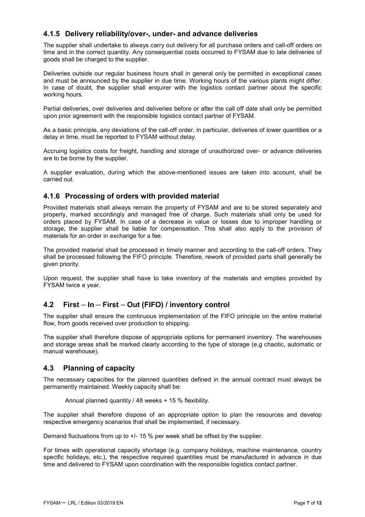#### **4.1.5 Delivery reliability/over-, under- and advance deliveries**

The supplier shall undertake to always carry out delivery for all purchase orders and call-off orders on time and in the correct quantity. Any consequential costs occurred to FYSAM due to late deliveries of goods shall be charged to the supplier.

Deliveries outside our regular business hours shall in general only be permitted in exceptional cases and must be announced by the supplier in due time. Working hours of the various plants might differ. In case of doubt, the supplier shall enquirer with the logistics contact partner about the specific working hours.

Partial deliveries, over deliveries and deliveries before or after the call off date shall only be permitted upon prior agreement with the responsible logistics contact partner of FYSAM.

As a basic principle, any deviations of the call-off order, in particular, deliveries of lower quantities or a delay in time, must be reported to FYSAM without delay.

Accruing logistics costs for freight, handling and storage of unauthorized over- or advance deliveries are to be borne by the supplier.

A supplier evaluation, during which the above-mentioned issues are taken into account, shall be carried out.

#### **4.1.6 Processing of orders with provided material**

Provided materials shall always remain the property of FYSAM and are to be stored separately and properly, marked accordingly and managed free of charge. Such materials shall only be used for orders placed by FYSAM. In case of a decrease in value or losses due to improper handling or storage, the supplier shall be liable for compensation. This shall also apply to the provision of materials for an order in exchange for a fee.

The provided material shall be processed in timely manner and according to the call-off orders. They shall be processed following the FIFO principle. Therefore, rework of provided parts shall generally be given priority.

Upon request, the supplier shall have to take inventory of the materials and empties provided by FYSAM twice a year.

#### **4.2 First** *–* **In** *–* **First** *–* **Out (FIFO) / inventory control**

The supplier shall ensure the continuous implementation of the FIFO principle on the entire material flow, from goods received over production to shipping.

The supplier shall therefore dispose of appropriate options for permanent inventory. The warehouses and storage areas shall be marked clearly according to the type of storage (e.g chaotic, automatic or manual warehouse).

#### **4.3 Planning of capacity**

The necessary capacities for the planned quantities defined in the annual contract must always be permanently maintained. Weekly capacity shall be:

Annual planned quantity / 48 weeks + 15 % flexibility.

The supplier shall therefore dispose of an appropriate option to plan the resources and develop respective emergency scenarios that shall be implemented, if necessary.

Demand fluctuations from up to +/- 15 % per week shall be offset by the supplier.

For times with operational capacity shortage (e.g. company holidays, machine maintenance, country specific holidays, etc.), the respective required quantities must be manufactured in advance in due time and delivered to FYSAM upon coordination with the responsible logistics contact partner.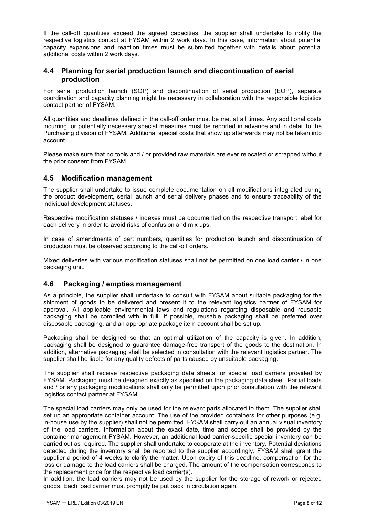If the call-off quantities exceed the agreed capacities, the supplier shall undertake to notify the respective logistics contact at FYSAM within 2 work days. In this case, information about potential capacity expansions and reaction times must be submitted together with details about potential additional costs within 2 work days.

#### **4.4 Planning for serial production launch and discontinuation of serial production**

For serial production launch (SOP) and discontinuation of serial production (EOP), separate coordination and capacity planning might be necessary in collaboration with the responsible logistics contact partner of FYSAM.

All quantities and deadlines defined in the call-off order must be met at all times. Any additional costs incurring for potentially necessary special measures must be reported in advance and in detail to the Purchasing division of FYSAM. Additional special costs that show up afterwards may not be taken into account.

Please make sure that no tools and / or provided raw materials are ever relocated or scrapped without the prior consent from FYSAM.

#### **4.5 Modification management**

The supplier shall undertake to issue complete documentation on all modifications integrated during the product development, serial launch and serial delivery phases and to ensure traceability of the individual development statuses.

Respective modification statuses / indexes must be documented on the respective transport label for each delivery in order to avoid risks of confusion and mix ups.

In case of amendments of part numbers, quantities for production launch and discontinuation of production must be observed according to the call-off orders.

Mixed deliveries with various modification statuses shall not be permitted on one load carrier / in one packaging unit.

#### **4.6 Packaging / empties management**

As a principle, the supplier shall undertake to consult with FYSAM about suitable packaging for the shipment of goods to be delivered and present it to the relevant logistics partner of FYSAM for approval. All applicable environmental laws and regulations regarding disposable and reusable packaging shall be complied with in full. If possible, reusable packaging shall be preferred over disposable packaging, and an appropriate package item account shall be set up.

Packaging shall be designed so that an optimal utilization of the capacity is given. In addition, packaging shall be designed to guarantee damage-free transport of the goods to the destination. In addition, alternative packaging shall be selected in consultation with the relevant logistics partner. The supplier shall be liable for any quality defects of parts caused by unsuitable packaging.

The supplier shall receive respective packaging data sheets for special load carriers provided by FYSAM. Packaging must be designed exactly as specified on the packaging data sheet. Partial loads and / or any packaging modifications shall only be permitted upon prior consultation with the relevant logistics contact partner at FYSAM.

The special load carriers may only be used for the relevant parts allocated to them. The supplier shall set up an appropriate container account. The use of the provided containers for other purposes (e.g. in-house use by the supplier) shall not be permitted. FYSAM shall carry out an annual visual inventory of the load carriers. Information about the exact date, time and scope shall be provided by the container management FYSAM. However, an additional load carrier-specific special inventory can be carried out as required. The supplier shall undertake to cooperate at the inventory. Potential deviations detected during the inventory shall be reported to the supplier accordingly. FYSAM shall grant the supplier a period of 4 weeks to clarify the matter. Upon expiry of this deadline, compensation for the loss or damage to the load carriers shall be charged. The amount of the compensation corresponds to the replacement price for the respective load carrier(s).

In addition, the load carriers may not be used by the supplier for the storage of rework or rejected goods. Each load carrier must promptly be put back in circulation again.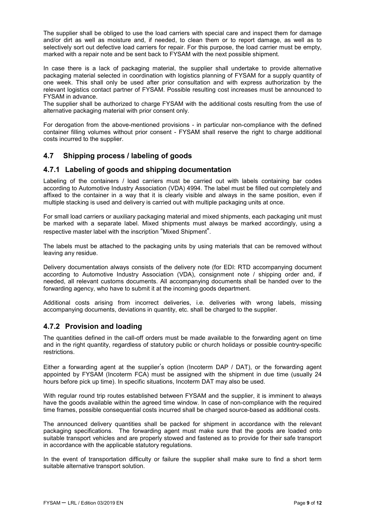The supplier shall be obliged to use the load carriers with special care and inspect them for damage and/or dirt as well as moisture and, if needed, to clean them or to report damage, as well as to selectively sort out defective load carriers for repair. For this purpose, the load carrier must be empty, marked with a repair note and be sent back to FYSAM with the next possible shipment.

In case there is a lack of packaging material, the supplier shall undertake to provide alternative packaging material selected in coordination with logistics planning of FYSAM for a supply quantity of one week. This shall only be used after prior consultation and with express authorization by the relevant logistics contact partner of FYSAM. Possible resulting cost increases must be announced to FYSAM in advance.

The supplier shall be authorized to charge FYSAM with the additional costs resulting from the use of alternative packaging material with prior consent only.

For derogation from the above-mentioned provisions - in particular non-compliance with the defined container filling volumes without prior consent - FYSAM shall reserve the right to charge additional costs incurred to the supplier.

#### **4.7 Shipping process / labeling of goods**

#### **4.7.1 Labeling of goods and shipping documentation**

Labeling of the containers / load carriers must be carried out with labels containing bar codes according to Automotive Industry Association (VDA) 4994. The label must be filled out completely and affixed to the container in a way that it is clearly visible and always in the same position, even if multiple stacking is used and delivery is carried out with multiple packaging units at once.

For small load carriers or auxiliary packaging material and mixed shipments, each packaging unit must be marked with a separate label. Mixed shipments must always be marked accordingly, using a respective master label with the inscription "Mixed Shipment".

The labels must be attached to the packaging units by using materials that can be removed without leaving any residue.

Delivery documentation always consists of the delivery note (for EDI: RTD accompanying document according to Automotive Industry Association (VDA), consignment note / shipping order and, if needed, all relevant customs documents. All accompanying documents shall be handed over to the forwarding agency, who have to submit it at the incoming goods department.

Additional costs arising from incorrect deliveries, i.e. deliveries with wrong labels, missing accompanying documents, deviations in quantity, etc. shall be charged to the supplier.

#### **4.7.2 Provision and loading**

The quantities defined in the call-off orders must be made available to the forwarding agent on time and in the right quantity, regardless of statutory public or church holidays or possible country-specific restrictions.

Either a forwarding agent at the supplier's option (Incoterm DAP / DAT), or the forwarding agent appointed by FYSAM (Incoterm FCA) must be assigned with the shipment in due time (usually 24 hours before pick up time). In specific situations, Incoterm DAT may also be used.

With regular round trip routes established between FYSAM and the supplier, it is imminent to always have the goods available within the agreed time window. In case of non-compliance with the required time frames, possible consequential costs incurred shall be charged source-based as additional costs.

The announced delivery quantities shall be packed for shipment in accordance with the relevant packaging specifications. The forwarding agent must make sure that the goods are loaded onto suitable transport vehicles and are properly stowed and fastened as to provide for their safe transport in accordance with the applicable statutory regulations.

In the event of transportation difficulty or failure the supplier shall make sure to find a short term suitable alternative transport solution.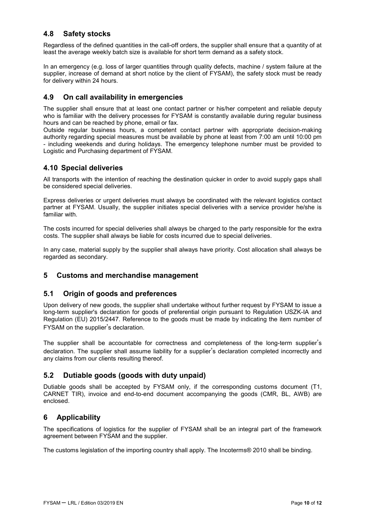#### **4.8 Safety stocks**

Regardless of the defined quantities in the call-off orders, the supplier shall ensure that a quantity of at least the average weekly batch size is available for short term demand as a safety stock.

In an emergency (e.g. loss of larger quantities through quality defects, machine / system failure at the supplier, increase of demand at short notice by the client of FYSAM), the safety stock must be ready for delivery within 24 hours.

#### **4.9 On call availability in emergencies**

The supplier shall ensure that at least one contact partner or his/her competent and reliable deputy who is familiar with the delivery processes for FYSAM is constantly available during regular business hours and can be reached by phone, email or fax.

Outside regular business hours, a competent contact partner with appropriate decision-making authority regarding special measures must be available by phone at least from 7:00 am until 10:00 pm - including weekends and during holidays. The emergency telephone number must be provided to Logistic and Purchasing department of FYSAM.

#### **4.10 Special deliveries**

All transports with the intention of reaching the destination quicker in order to avoid supply gaps shall be considered special deliveries.

Express deliveries or urgent deliveries must always be coordinated with the relevant logistics contact partner at FYSAM. Usually, the supplier initiates special deliveries with a service provider he/she is familiar with.

The costs incurred for special deliveries shall always be charged to the party responsible for the extra costs. The supplier shall always be liable for costs incurred due to special deliveries.

In any case, material supply by the supplier shall always have priority. Cost allocation shall always be regarded as secondary.

#### **5 Customs and merchandise management**

#### **5.1 Origin of goods and preferences**

Upon delivery of new goods, the supplier shall undertake without further request by FYSAM to issue a long-term supplier's declaration for goods of preferential origin pursuant to Regulation USZK-IA and Regulation (EU) 2015/2447. Reference to the goods must be made by indicating the item number of FYSAM on the supplier's declaration.

The supplier shall be accountable for correctness and completeness of the long-term supplier's declaration. The supplier shall assume liability for a supplier's declaration completed incorrectly and any claims from our clients resulting thereof.

#### **5.2 Dutiable goods (goods with duty unpaid)**

Dutiable goods shall be accepted by FYSAM only, if the corresponding customs document (T1, CARNET TIR), invoice and end-to-end document accompanying the goods (CMR, BL, AWB) are enclosed.

#### **6 Applicability**

The specifications of logistics for the supplier of FYSAM shall be an integral part of the framework agreement between FYSAM and the supplier.

The customs legislation of the importing country shall apply. The Incoterms® 2010 shall be binding.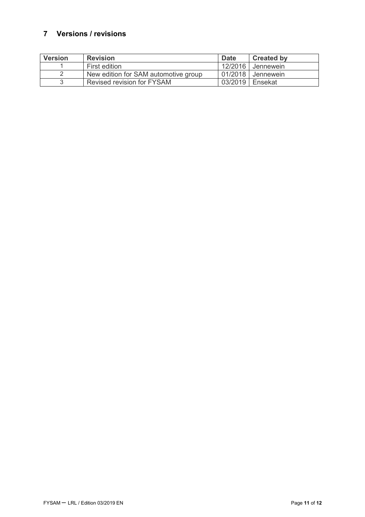## **7 Versions / revisions**

| <b>Version</b> | <b>Revision</b>                      | <b>Date</b>       | <b>Created by</b>   |
|----------------|--------------------------------------|-------------------|---------------------|
|                | First edition                        |                   | 12/2016 Jennewein   |
|                | New edition for SAM automotive group |                   | 01/2018   Jennewein |
|                | Revised revision for FYSAM           | 03/2019   Ensekat |                     |